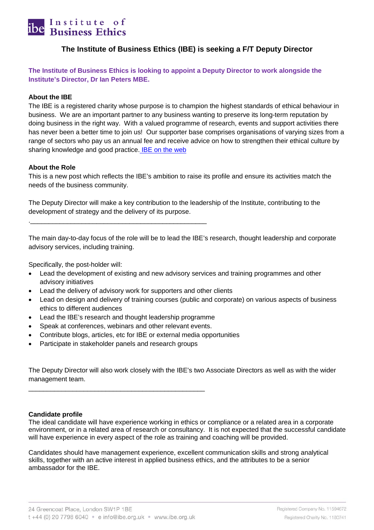

#### **The Institute of Business Ethics (IBE) is seeking a F/T Deputy Director**

**The Institute of Business Ethics is looking to appoint a Deputy Director to work alongside the Institute's Director, Dr Ian Peters MBE.**

#### **About the IBE**

The IBE is a registered charity whose purpose is to champion the highest standards of ethical behaviour in business. We are an important partner to any business wanting to preserve its long-term reputation by doing business in the right way. With a valued programme of research, events and support activities there has never been a better time to join us! Our supporter base comprises organisations of varying sizes from a range of sectors who pay us an annual fee and receive advice on how to strengthen their ethical culture by sharing knowledge and good practice. **IBE** on the web

#### **About the Role**

This is a new post which reflects the IBE's ambition to raise its profile and ensure its activities match the needs of the business community.

The Deputy Director will make a key contribution to the leadership of the Institute, contributing to the development of strategy and the delivery of its purpose.

The main day-to-day focus of the role will be to lead the IBE's research, thought leadership and corporate advisory services, including training.

Specifically, the post-holder will:

- Lead the development of existing and new advisory services and training programmes and other advisory initiatives
- Lead the delivery of advisory work for supporters and other clients
- Lead on design and delivery of training courses (public and corporate) on various aspects of business ethics to different audiences
- Lead the IBE's research and thought leadership programme
- Speak at conferences, webinars and other relevant events.

.\_\_\_\_\_\_\_\_\_\_\_\_\_\_\_\_\_\_\_\_\_\_\_\_\_\_\_\_\_\_\_\_\_\_\_\_\_\_\_\_\_\_\_\_\_\_\_\_

- Contribute blogs, articles, etc for IBE or external media opportunities
- Participate in stakeholder panels and research groups

\_\_\_\_\_\_\_\_\_\_\_\_\_\_\_\_\_\_\_\_\_\_\_\_\_\_\_\_\_\_\_\_\_\_\_\_\_\_\_\_\_\_\_\_\_\_\_\_

The Deputy Director will also work closely with the IBE's two Associate Directors as well as with the wider management team.

#### **Candidate profile**

The ideal candidate will have experience working in ethics or compliance or a related area in a corporate environment, or in a related area of research or consultancy. It is not expected that the successful candidate will have experience in every aspect of the role as training and coaching will be provided.

Candidates should have management experience, excellent communication skills and strong analytical skills, together with an active interest in applied business ethics, and the attributes to be a senior ambassador for the IBE.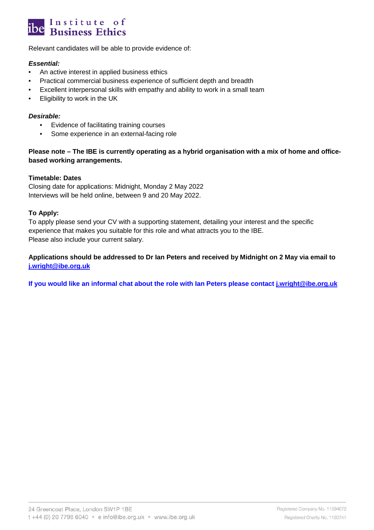## Institute of<br>Business Ethics

Relevant candidates will be able to provide evidence of:

#### *Essential:*

- An active interest in applied business ethics
- Practical commercial business experience of sufficient depth and breadth
- Excellent interpersonal skills with empathy and ability to work in a small team
- Eligibility to work in the UK

#### *Desirable:*

- Evidence of facilitating training courses
- Some experience in an external-facing role

#### **Please note – The IBE is currently operating as a hybrid organisation with a mix of home and officebased working arrangements.**

#### **Timetable: Dates**

Closing date for applications: Midnight, Monday 2 May 2022 Interviews will be held online, between 9 and 20 May 2022.

#### **To Apply:**

To apply please send your CV with a supporting statement, detailing your interest and the specific experience that makes you suitable for this role and what attracts you to the IBE. Please also include your current salary.

#### **Applications should be addressed to Dr Ian Peters and received by Midnight on 2 May via email to [j.wright@ibe.org.uk](mailto:j.wright@ibe.org.uk)**

**If you would like an informal chat about the role with Ian Peters please contact [j.wright@ibe.org.uk](mailto:j.wright@ibe.org.uk)**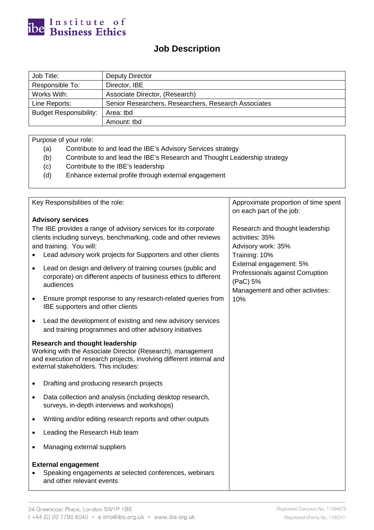

### **Job Description**

| Job Title:                                 | Deputy Director                                      |  |  |
|--------------------------------------------|------------------------------------------------------|--|--|
| Responsible To:                            | Director, IBE                                        |  |  |
| Works With:                                | Associate Director, (Research)                       |  |  |
| Line Reports:                              | Senior Researchers, Researchers, Research Associates |  |  |
| <b>Budget Responsibility:</b><br>Area: tbd |                                                      |  |  |
|                                            | Amount: tbd                                          |  |  |

Purpose of your role:

- (a) Contribute to and lead the IBE's Advisory Services strategy
- (b) Contribute to and lead the IBE's Research and Thought Leadership strategy
- (c) Contribute to the IBE's leadership
- (d) Enhance external profile through external engagement

| Key Responsibilities of the role:                                                                                                                                                                                             | Approximate proportion of time spent<br>on each part of the job:                                            |
|-------------------------------------------------------------------------------------------------------------------------------------------------------------------------------------------------------------------------------|-------------------------------------------------------------------------------------------------------------|
| <b>Advisory services</b>                                                                                                                                                                                                      |                                                                                                             |
| The IBE provides a range of advisory services for its corporate<br>clients including surveys, benchmarking, code and other reviews<br>and training. You will:<br>Lead advisory work projects for Supporters and other clients | Research and thought leadership<br>activities: 35%<br>Advisory work: 35%<br>Training: 10%                   |
| Lead on design and delivery of training courses (public and<br>$\bullet$<br>corporate) on different aspects of business ethics to different<br>audiences                                                                      | External engagement: 5%<br>Professionals against Corruption<br>(PaC) 5%<br>Management and other activities: |
| Ensure prompt response to any research-related queries from<br>IBE supporters and other clients                                                                                                                               | 10%                                                                                                         |
| Lead the development of existing and new advisory services<br>$\bullet$<br>and training programmes and other advisory initiatives                                                                                             |                                                                                                             |
| <b>Research and thought leadership</b><br>Working with the Associate Director (Research), management<br>and execution of research projects, involving different internal and<br>external stakeholders. This includes:         |                                                                                                             |
| Drafting and producing research projects                                                                                                                                                                                      |                                                                                                             |
| Data collection and analysis (including desktop research,<br>$\bullet$<br>surveys, in-depth interviews and workshops)                                                                                                         |                                                                                                             |
| Writing and/or editing research reports and other outputs<br>$\bullet$                                                                                                                                                        |                                                                                                             |
| Leading the Research Hub team                                                                                                                                                                                                 |                                                                                                             |
| Managing external suppliers                                                                                                                                                                                                   |                                                                                                             |
| <b>External engagement</b><br>Speaking engagements at selected conferences, webinars<br>and other relevant events                                                                                                             |                                                                                                             |